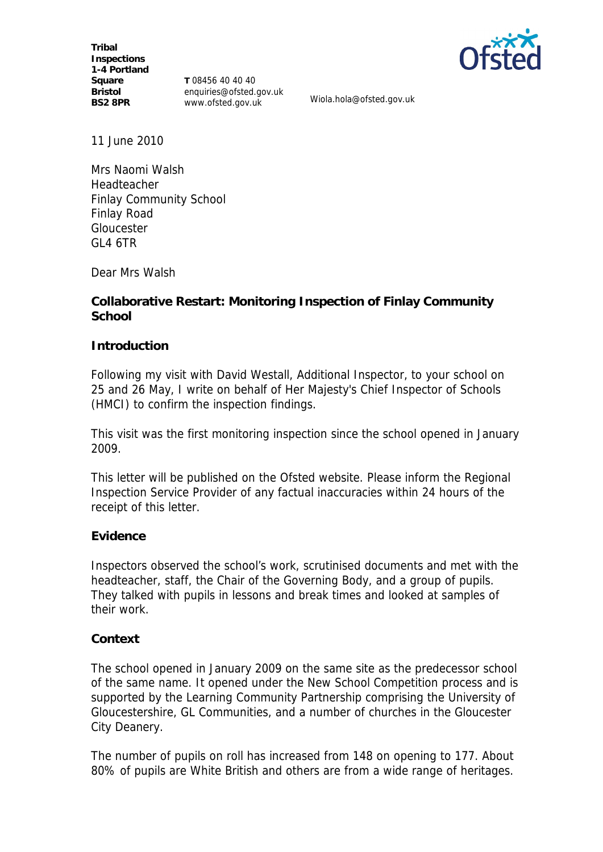**Tribal Inspections 1-4 Portland Square Bristol BS2 8PR**

**T** 08456 40 40 40 enquiries@ofsted.gov.uk www.ofsted.gov.uk Wiola.hola@ofsted.gov.uk



11 June 2010

Mrs Naomi Walsh Headteacher Finlay Community School Finlay Road Gloucester GL4 6TR

Dear Mrs Walsh

**Collaborative Restart: Monitoring Inspection of Finlay Community School**

**Introduction**

Following my visit with David Westall, Additional Inspector, to your school on 25 and 26 May, I write on behalf of Her Majesty's Chief Inspector of Schools (HMCI) to confirm the inspection findings.

This visit was the first monitoring inspection since the school opened in January 2009*.*

This letter will be published on the Ofsted website. Please inform the Regional Inspection Service Provider of any factual inaccuracies within 24 hours of the receipt of this letter.

# **Evidence**

Inspectors observed the school's work, scrutinised documents and met with the headteacher, staff, the Chair of the Governing Body, and a group of pupils. They talked with pupils in lessons and break times and looked at samples of their work.

### **Context**

The school opened in January 2009 on the same site as the predecessor school of the same name. It opened under the New School Competition process and is supported by the Learning Community Partnership comprising the University of Gloucestershire, GL Communities, and a number of churches in the Gloucester City Deanery.

The number of pupils on roll has increased from 148 on opening to 177. About 80% of pupils are White British and others are from a wide range of heritages.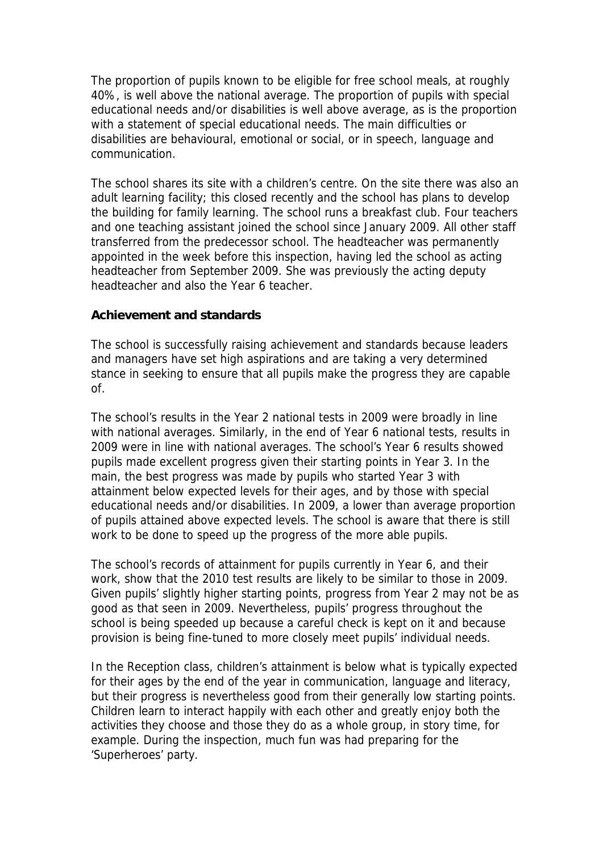The proportion of pupils known to be eligible for free school meals, at roughly 40%, is well above the national average. The proportion of pupils with special educational needs and/or disabilities is well above average, as is the proportion with a statement of special educational needs. The main difficulties or disabilities are behavioural, emotional or social, or in speech, language and communication.

The school shares its site with a children's centre. On the site there was also an adult learning facility; this closed recently and the school has plans to develop the building for family learning. The school runs a breakfast club. Four teachers and one teaching assistant joined the school since January 2009. All other staff transferred from the predecessor school. The headteacher was permanently appointed in the week before this inspection, having led the school as acting headteacher from September 2009. She was previously the acting deputy headteacher and also the Year 6 teacher.

## **Achievement and standards**

The school is successfully raising achievement and standards because leaders and managers have set high aspirations and are taking a very determined stance in seeking to ensure that all pupils make the progress they are capable of.

The school's results in the Year 2 national tests in 2009 were broadly in line with national averages. Similarly, in the end of Year 6 national tests, results in 2009 were in line with national averages. The school's Year 6 results showed pupils made excellent progress given their starting points in Year 3. In the main, the best progress was made by pupils who started Year 3 with attainment below expected levels for their ages, and by those with special educational needs and/or disabilities. In 2009, a lower than average proportion of pupils attained above expected levels. The school is aware that there is still work to be done to speed up the progress of the more able pupils.

The school's records of attainment for pupils currently in Year 6, and their work, show that the 2010 test results are likely to be similar to those in 2009. Given pupils' slightly higher starting points, progress from Year 2 may not be as good as that seen in 2009. Nevertheless, pupils' progress throughout the school is being speeded up because a careful check is kept on it and because provision is being fine-tuned to more closely meet pupils' individual needs.

In the Reception class, children's attainment is below what is typically expected for their ages by the end of the year in communication, language and literacy, but their progress is nevertheless good from their generally low starting points. Children learn to interact happily with each other and greatly enjoy both the activities they choose and those they do as a whole group, in story time, for example. During the inspection, much fun was had preparing for the 'Superheroes' party.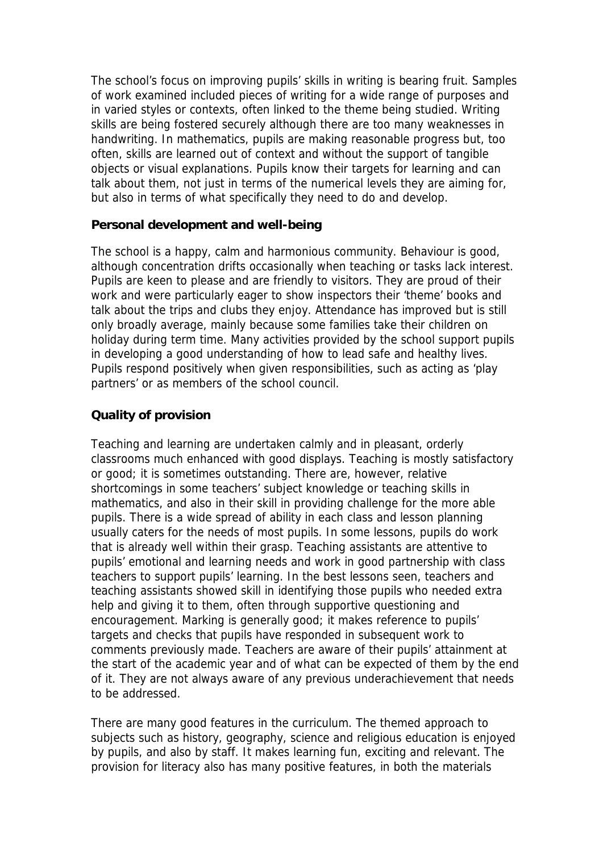The school's focus on improving pupils' skills in writing is bearing fruit. Samples of work examined included pieces of writing for a wide range of purposes and in varied styles or contexts, often linked to the theme being studied. Writing skills are being fostered securely although there are too many weaknesses in handwriting. In mathematics, pupils are making reasonable progress but, too often, skills are learned out of context and without the support of tangible objects or visual explanations. Pupils know their targets for learning and can talk about them, not just in terms of the numerical levels they are aiming for, but also in terms of what specifically they need to do and develop.

## **Personal development and well-being**

The school is a happy, calm and harmonious community. Behaviour is good, although concentration drifts occasionally when teaching or tasks lack interest. Pupils are keen to please and are friendly to visitors. They are proud of their work and were particularly eager to show inspectors their 'theme' books and talk about the trips and clubs they enjoy. Attendance has improved but is still only broadly average, mainly because some families take their children on holiday during term time. Many activities provided by the school support pupils in developing a good understanding of how to lead safe and healthy lives. Pupils respond positively when given responsibilities, such as acting as 'play partners' or as members of the school council.

# **Quality of provision**

Teaching and learning are undertaken calmly and in pleasant, orderly classrooms much enhanced with good displays. Teaching is mostly satisfactory or good; it is sometimes outstanding. There are, however, relative shortcomings in some teachers' subject knowledge or teaching skills in mathematics, and also in their skill in providing challenge for the more able pupils. There is a wide spread of ability in each class and lesson planning usually caters for the needs of most pupils. In some lessons, pupils do work that is already well within their grasp. Teaching assistants are attentive to pupils' emotional and learning needs and work in good partnership with class teachers to support pupils' learning. In the best lessons seen, teachers and teaching assistants showed skill in identifying those pupils who needed extra help and giving it to them, often through supportive questioning and encouragement. Marking is generally good; it makes reference to pupils' targets and checks that pupils have responded in subsequent work to comments previously made. Teachers are aware of their pupils' attainment at the start of the academic year and of what can be expected of them by the end of it. They are not always aware of any previous underachievement that needs to be addressed.

There are many good features in the curriculum. The themed approach to subjects such as history, geography, science and religious education is enjoyed by pupils, and also by staff. It makes learning fun, exciting and relevant. The provision for literacy also has many positive features, in both the materials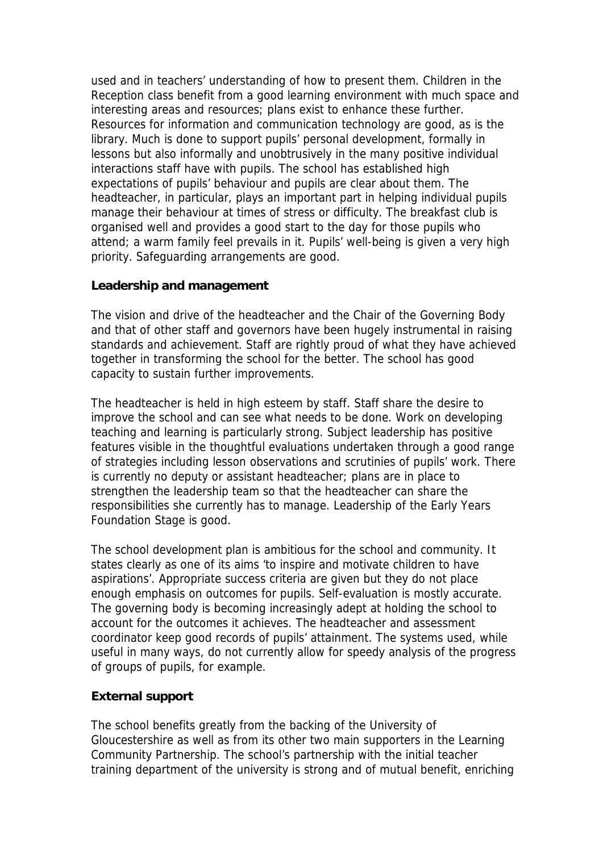used and in teachers' understanding of how to present them. Children in the Reception class benefit from a good learning environment with much space and interesting areas and resources; plans exist to enhance these further. Resources for information and communication technology are good, as is the library. Much is done to support pupils' personal development, formally in lessons but also informally and unobtrusively in the many positive individual interactions staff have with pupils. The school has established high expectations of pupils' behaviour and pupils are clear about them. The headteacher, in particular, plays an important part in helping individual pupils manage their behaviour at times of stress or difficulty. The breakfast club is organised well and provides a good start to the day for those pupils who attend; a warm family feel prevails in it. Pupils' well-being is given a very high priority. Safeguarding arrangements are good.

## **Leadership and management**

The vision and drive of the headteacher and the Chair of the Governing Body and that of other staff and governors have been hugely instrumental in raising standards and achievement. Staff are rightly proud of what they have achieved together in transforming the school for the better. The school has good capacity to sustain further improvements.

The headteacher is held in high esteem by staff. Staff share the desire to improve the school and can see what needs to be done. Work on developing teaching and learning is particularly strong. Subject leadership has positive features visible in the thoughtful evaluations undertaken through a good range of strategies including lesson observations and scrutinies of pupils' work. There is currently no deputy or assistant headteacher; plans are in place to strengthen the leadership team so that the headteacher can share the responsibilities she currently has to manage. Leadership of the Early Years Foundation Stage is good.

The school development plan is ambitious for the school and community. It states clearly as one of its aims 'to inspire and motivate children to have aspirations'. Appropriate success criteria are given but they do not place enough emphasis on outcomes for pupils. Self-evaluation is mostly accurate. The governing body is becoming increasingly adept at holding the school to account for the outcomes it achieves. The headteacher and assessment coordinator keep good records of pupils' attainment. The systems used, while useful in many ways, do not currently allow for speedy analysis of the progress of groups of pupils, for example.

# **External support**

The school benefits greatly from the backing of the University of Gloucestershire as well as from its other two main supporters in the Learning Community Partnership. The school's partnership with the initial teacher training department of the university is strong and of mutual benefit, enriching